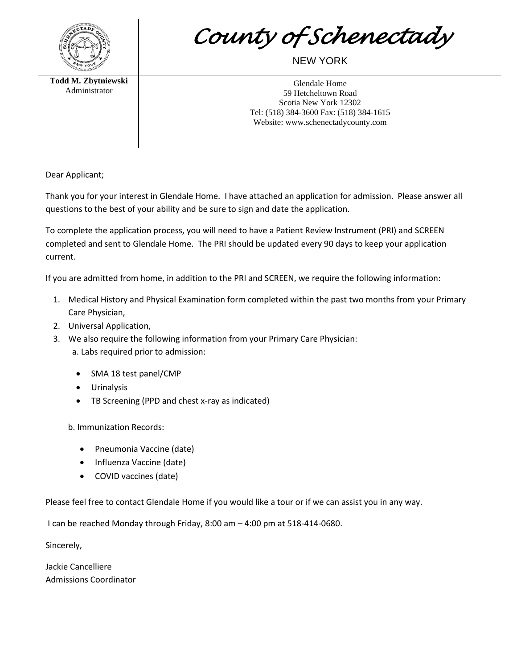

*County of Schenectady* 

## NEW YORK

**Todd M. Zbytniewski** Administrator

Glendale Home 59 Hetcheltown Road Scotia New York 12302 Tel: (518) 384-3600 Fax: (518) 384-1615 Website: www.schenectadycounty.com

Dear Applicant;

Thank you for your interest in Glendale Home. I have attached an application for admission. Please answer all questions to the best of your ability and be sure to sign and date the application.

To complete the application process, you will need to have a Patient Review Instrument (PRI) and SCREEN completed and sent to Glendale Home. The PRI should be updated every 90 days to keep your application current.

If you are admitted from home, in addition to the PRI and SCREEN, we require the following information:

- 1. Medical History and Physical Examination form completed within the past two months from your Primary Care Physician,
- 2. Universal Application,
- 3. We also require the following information from your Primary Care Physician: a. Labs required prior to admission:
	- SMA 18 test panel/CMP
	- Urinalysis
	- TB Screening (PPD and chest x-ray as indicated)

b. Immunization Records:

- Pneumonia Vaccine (date)
- Influenza Vaccine (date)
- COVID vaccines (date)

Please feel free to contact Glendale Home if you would like a tour or if we can assist you in any way.

I can be reached Monday through Friday, 8:00 am – 4:00 pm at 518-414-0680.

Sincerely,

Jackie Cancelliere Admissions Coordinator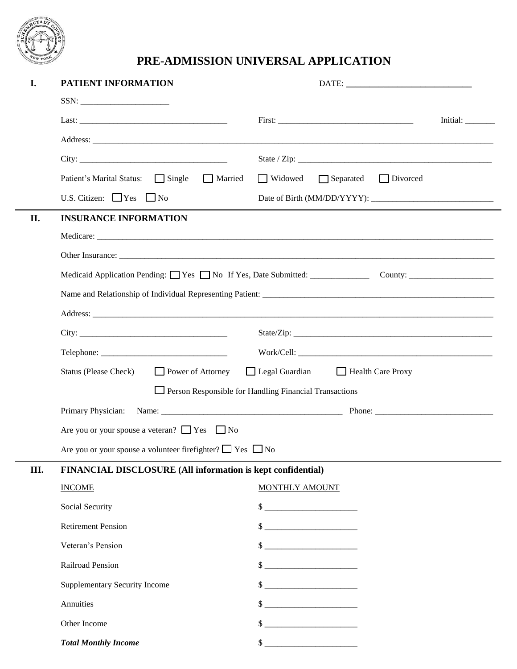

## **PRE-ADMISSION UNIVERSAL APPLICATION**

| I.  | PATIENT INFORMATION                                                                                                                                                                     |                                                       |                                           |
|-----|-----------------------------------------------------------------------------------------------------------------------------------------------------------------------------------------|-------------------------------------------------------|-------------------------------------------|
|     | $SSN: \begin{tabular}{ c c c c } \hline \quad \quad & \quad \quad & \quad \quad \\ \hline \end{tabular}$                                                                                |                                                       |                                           |
|     |                                                                                                                                                                                         |                                                       | Initial: $\_\_\_\_\_\_\_\_\_\_\_\_\_\_\_$ |
|     |                                                                                                                                                                                         |                                                       |                                           |
|     | City:                                                                                                                                                                                   |                                                       |                                           |
|     | $\Box$ Single<br>Patient's Marital Status:<br>$\Box$ Married                                                                                                                            | $\Box$ Separated<br>$\Box$ Divorced<br>$\Box$ Widowed |                                           |
|     | U.S. Citizen: $\Box$ Yes $\Box$ No                                                                                                                                                      |                                                       |                                           |
| II. | <b>INSURANCE INFORMATION</b>                                                                                                                                                            |                                                       |                                           |
|     |                                                                                                                                                                                         |                                                       |                                           |
|     |                                                                                                                                                                                         |                                                       |                                           |
|     |                                                                                                                                                                                         |                                                       |                                           |
|     |                                                                                                                                                                                         |                                                       |                                           |
|     |                                                                                                                                                                                         |                                                       |                                           |
|     |                                                                                                                                                                                         |                                                       |                                           |
|     |                                                                                                                                                                                         |                                                       |                                           |
|     | □ Legal Guardian □ Health Care Proxy<br><b>Status (Please Check)</b><br>$\Box$ Power of Attorney<br>$\Box$ Person Responsible for Handling Financial Transactions<br>Primary Physician: |                                                       |                                           |
|     |                                                                                                                                                                                         |                                                       |                                           |
|     |                                                                                                                                                                                         |                                                       |                                           |
|     | Are you or your spouse a veteran? $\Box$ Yes $\Box$ No                                                                                                                                  |                                                       |                                           |
|     | Are you or your spouse a volunteer firefighter? $\Box$ Yes $\Box$ No                                                                                                                    |                                                       |                                           |
| Ш.  | FINANCIAL DISCLOSURE (All information is kept confidential)                                                                                                                             |                                                       |                                           |
|     | <b>INCOME</b>                                                                                                                                                                           | MONTHLY AMOUNT                                        |                                           |
|     | Social Security                                                                                                                                                                         | $\frac{1}{2}$                                         |                                           |
|     | <b>Retirement Pension</b>                                                                                                                                                               |                                                       |                                           |
|     | Veteran's Pension                                                                                                                                                                       |                                                       |                                           |
|     | Railroad Pension                                                                                                                                                                        |                                                       |                                           |
|     | <b>Supplementary Security Income</b>                                                                                                                                                    |                                                       |                                           |
|     | Annuities                                                                                                                                                                               | $\frac{1}{2}$                                         |                                           |
|     | Other Income                                                                                                                                                                            | $\frac{1}{2}$                                         |                                           |
|     | <b>Total Monthly Income</b>                                                                                                                                                             | $\sim$                                                |                                           |